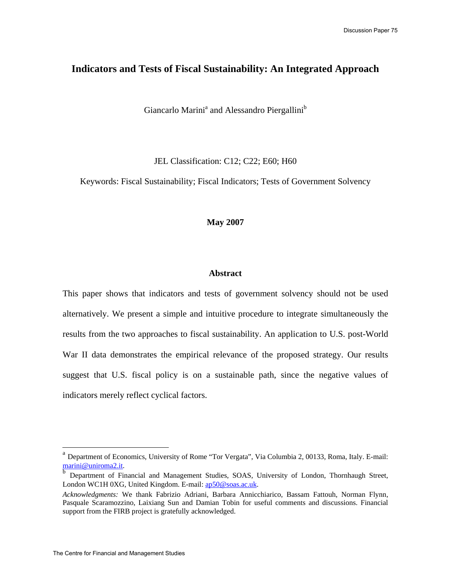# **Indicators and Tests of Fiscal Sustainability: An Integrated Approach**

Giancarlo Marini<sup>a</sup> and Alessandro Piergallini<sup>b</sup>

JEL Classification: C12; C22; E60; H60

Keywords: Fiscal Sustainability; Fiscal Indicators; Tests of Government Solvency

### **May 2007**

### **Abstract**

This paper shows that indicators and tests of government solvency should not be used alternatively. We present a simple and intuitive procedure to integrate simultaneously the results from the two approaches to fiscal sustainability. An application to U.S. post-World War II data demonstrates the empirical relevance of the proposed strategy. Our results suggest that U.S. fiscal policy is on a sustainable path, since the negative values of indicators merely reflect cyclical factors.

<sup>&</sup>lt;sup>a</sup> Department of Economics, University of Rome "Tor Vergata", Via Columbia 2, 00133, Roma, Italy. E-mail: marini@uniroma2.it.

b Department of Financial and Management Studies, SOAS, University of London, Thornhaugh Street, London WC1H 0XG, United Kingdom. E-mail: ap50@soas.ac.uk.

*Acknowledgments:* We thank Fabrizio Adriani, Barbara Annicchiarico, Bassam Fattouh, Norman Flynn, Pasquale Scaramozzino, Laixiang Sun and Damian Tobin for useful comments and discussions. Financial support from the FIRB project is gratefully acknowledged.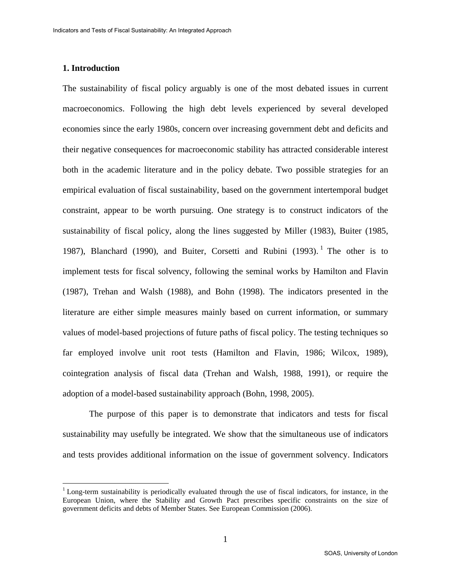#### **1. Introduction**

<u>.</u>

The sustainability of fiscal policy arguably is one of the most debated issues in current macroeconomics. Following the high debt levels experienced by several developed economies since the early 1980s, concern over increasing government debt and deficits and their negative consequences for macroeconomic stability has attracted considerable interest both in the academic literature and in the policy debate. Two possible strategies for an empirical evaluation of fiscal sustainability, based on the government intertemporal budget constraint, appear to be worth pursuing. One strategy is to construct indicators of the sustainability of fiscal policy, along the lines suggested by Miller (1983), Buiter (1985, 1987), Blanchard (1990), and Buiter, Corsetti and Rubini (1993).<sup>1</sup> The other is to implement tests for fiscal solvency, following the seminal works by Hamilton and Flavin (1987), Trehan and Walsh (1988), and Bohn (1998). The indicators presented in the literature are either simple measures mainly based on current information, or summary values of model-based projections of future paths of fiscal policy. The testing techniques so far employed involve unit root tests (Hamilton and Flavin, 1986; Wilcox, 1989), cointegration analysis of fiscal data (Trehan and Walsh, 1988, 1991), or require the adoption of a model-based sustainability approach (Bohn, 1998, 2005).

The purpose of this paper is to demonstrate that indicators and tests for fiscal sustainability may usefully be integrated. We show that the simultaneous use of indicators and tests provides additional information on the issue of government solvency. Indicators

 $1$  Long-term sustainability is periodically evaluated through the use of fiscal indicators, for instance, in the European Union, where the Stability and Growth Pact prescribes specific constraints on the size of government deficits and debts of Member States. See European Commission (2006).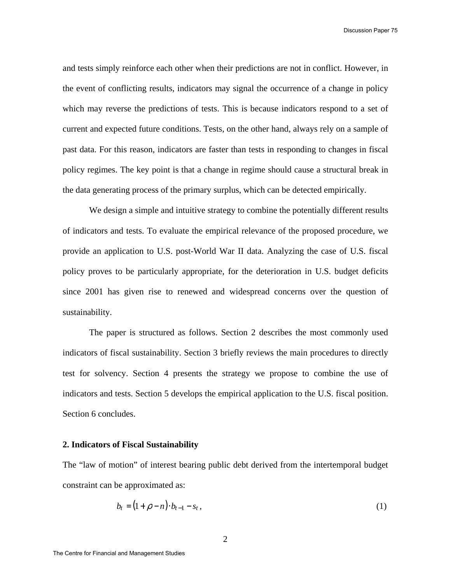Discussion Paper 75

and tests simply reinforce each other when their predictions are not in conflict. However, in the event of conflicting results, indicators may signal the occurrence of a change in policy which may reverse the predictions of tests. This is because indicators respond to a set of current and expected future conditions. Tests, on the other hand, always rely on a sample of past data. For this reason, indicators are faster than tests in responding to changes in fiscal policy regimes. The key point is that a change in regime should cause a structural break in the data generating process of the primary surplus, which can be detected empirically.

We design a simple and intuitive strategy to combine the potentially different results of indicators and tests. To evaluate the empirical relevance of the proposed procedure, we provide an application to U.S. post-World War II data. Analyzing the case of U.S. fiscal policy proves to be particularly appropriate, for the deterioration in U.S. budget deficits since 2001 has given rise to renewed and widespread concerns over the question of sustainability.

The paper is structured as follows. Section 2 describes the most commonly used indicators of fiscal sustainability. Section 3 briefly reviews the main procedures to directly test for solvency. Section 4 presents the strategy we propose to combine the use of indicators and tests. Section 5 develops the empirical application to the U.S. fiscal position. Section 6 concludes.

### **2. Indicators of Fiscal Sustainability**

The "law of motion" of interest bearing public debt derived from the intertemporal budget constraint can be approximated as:

$$
b_t = (1 + \rho - n) \cdot b_{t-1} - s_t, \tag{1}
$$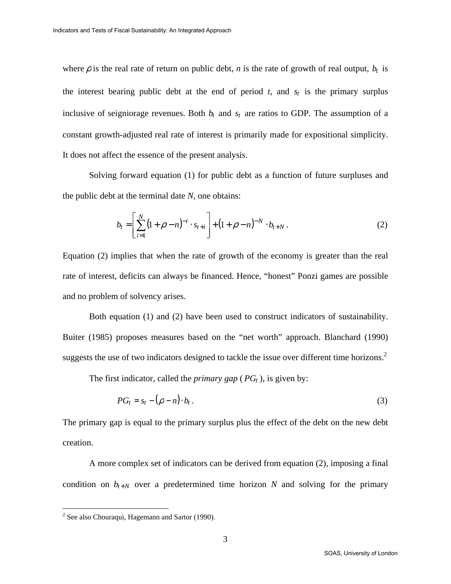where  $\rho$  is the real rate of return on public debt, *n* is the rate of growth of real output,  $b_t$  is the interest bearing public debt at the end of period  $t$ , and  $s_t$  is the primary surplus inclusive of seigniorage revenues. Both  $b_t$  and  $s_t$  are ratios to GDP. The assumption of a constant growth-adjusted real rate of interest is primarily made for expositional simplicity. It does not affect the essence of the present analysis.

Solving forward equation (1) for public debt as a function of future surpluses and the public debt at the terminal date *N*, one obtains:

$$
b_t = \left[\sum_{i=1}^N (1+\rho-n)^{-i} \cdot s_{t+i}\right] + (1+\rho-n)^{-N} \cdot b_{t+N} . \tag{2}
$$

Equation (2) implies that when the rate of growth of the economy is greater than the real rate of interest, deficits can always be financed. Hence, "honest" Ponzi games are possible and no problem of solvency arises.

Both equation (1) and (2) have been used to construct indicators of sustainability. Buiter (1985) proposes measures based on the "net worth" approach. Blanchard (1990) suggests the use of two indicators designed to tackle the issue over different time horizons.<sup>2</sup>

The first indicator, called the *primary gap* ( $PG<sub>t</sub>$ ), is given by:

$$
PG_t = s_t - (\rho - n) \cdot b_t. \tag{3}
$$

The primary gap is equal to the primary surplus plus the effect of the debt on the new debt creation.

A more complex set of indicators can be derived from equation (2), imposing a final condition on  $b_{t+N}$  over a predetermined time horizon *N* and solving for the primary

 2 See also Chouraqui, Hagemann and Sartor (1990).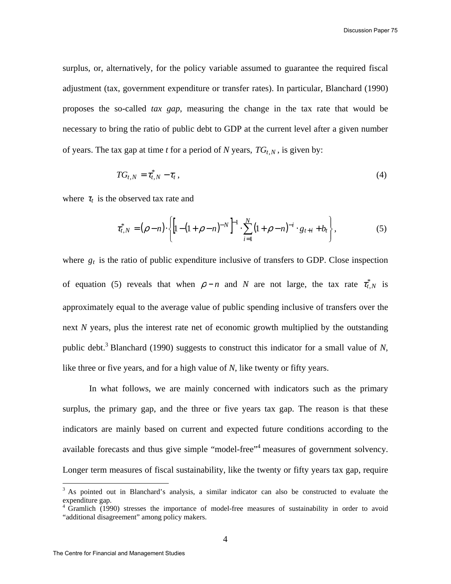surplus, or, alternatively, for the policy variable assumed to guarantee the required fiscal adjustment (tax, government expenditure or transfer rates). In particular, Blanchard (1990) proposes the so-called *tax gap*, measuring the change in the tax rate that would be necessary to bring the ratio of public debt to GDP at the current level after a given number of years. The tax gap at time *t* for a period of *N* years,  $TG_{t,N}$ , is given by:

$$
TG_{t,N}=\tau_{t,N}^*-\tau_t\,,\tag{4}
$$

where  $\tau_t$  is the observed tax rate and

$$
\tau_{t,N}^* = (\rho - n) \cdot \left\{ \left[ 1 - (1 + \rho - n)^{-N} \right]^{-1} \cdot \sum_{i=1}^N (1 + \rho - n)^{-i} \cdot g_{t+i} + b_t \right\},\tag{5}
$$

where  $g_t$  is the ratio of public expenditure inclusive of transfers to GDP. Close inspection of equation (5) reveals that when  $\rho - n$  and *N* are not large, the tax rate  $\tau_{t,N}^*$  is approximately equal to the average value of public spending inclusive of transfers over the next *N* years, plus the interest rate net of economic growth multiplied by the outstanding public debt.<sup>3</sup> Blanchard (1990) suggests to construct this indicator for a small value of  $N$ , like three or five years, and for a high value of *N*, like twenty or fifty years.

In what follows, we are mainly concerned with indicators such as the primary surplus, the primary gap, and the three or five years tax gap. The reason is that these indicators are mainly based on current and expected future conditions according to the available forecasts and thus give simple "model-free"<sup>4</sup> measures of government solvency. Longer term measures of fiscal sustainability, like the twenty or fifty years tax gap, require

<u>.</u>

<sup>&</sup>lt;sup>3</sup> As pointed out in Blanchard's analysis, a similar indicator can also be constructed to evaluate the expenditure gap.

<sup>&</sup>lt;sup>4</sup> Gramlich (1990) stresses the importance of model-free measures of sustainability in order to avoid "additional disagreement" among policy makers.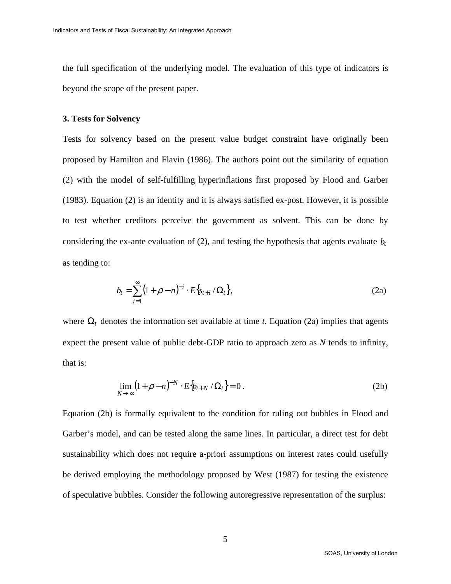the full specification of the underlying model. The evaluation of this type of indicators is beyond the scope of the present paper.

#### **3. Tests for Solvency**

Tests for solvency based on the present value budget constraint have originally been proposed by Hamilton and Flavin (1986). The authors point out the similarity of equation (2) with the model of self-fulfilling hyperinflations first proposed by Flood and Garber (1983). Equation (2) is an identity and it is always satisfied ex-post. However, it is possible to test whether creditors perceive the government as solvent. This can be done by considering the ex-ante evaluation of  $(2)$ , and testing the hypothesis that agents evaluate  $b_t$ as tending to:

$$
b_t = \sum_{i=1}^{\infty} (1 + \rho - n)^{-i} \cdot E\{s_{t+i} / \Omega_t\},
$$
 (2a)

where  $\Omega_t$  denotes the information set available at time *t*. Equation (2a) implies that agents expect the present value of public debt-GDP ratio to approach zero as *N* tends to infinity, that is:

$$
\lim_{N \to \infty} \left(1 + \rho - n\right)^{-N} \cdot E\big\{b_{t+N} / \Omega_t\big\} = 0. \tag{2b}
$$

Equation (2b) is formally equivalent to the condition for ruling out bubbles in Flood and Garber's model, and can be tested along the same lines. In particular, a direct test for debt sustainability which does not require a-priori assumptions on interest rates could usefully be derived employing the methodology proposed by West (1987) for testing the existence of speculative bubbles. Consider the following autoregressive representation of the surplus: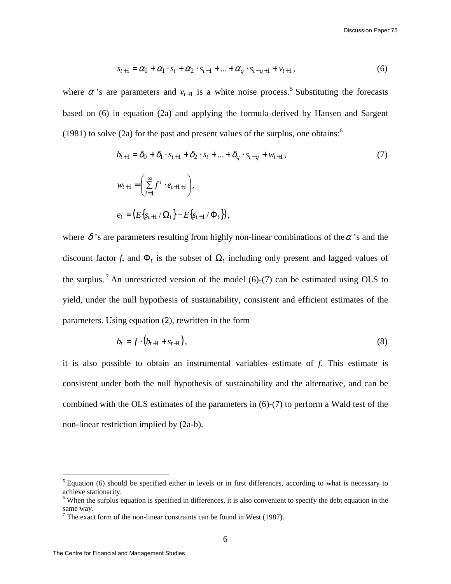$$
s_{t+1} = \alpha_0 + \alpha_1 \cdot s_t + \alpha_2 \cdot s_{t-1} + \dots + \alpha_q \cdot s_{t-q+1} + v_{t+1},
$$
\n(6)

where  $\alpha$  's are parameters and  $v_{t+1}$  is a white noise process.<sup>5</sup> Substituting the forecasts based on (6) in equation (2a) and applying the formula derived by Hansen and Sargent (1981) to solve (2a) for the past and present values of the surplus, one obtains: $<sup>6</sup>$ </sup>

$$
b_{t+1} = \delta_0 + \delta_1 \cdot s_{t+1} + \delta_2 \cdot s_t + \dots + \delta_q \cdot s_{t-q} + w_{t+1},
$$
  
\n
$$
w_{t+1} = \left(\sum_{i=1}^{\infty} f^i \cdot e_{t+1+i}\right),
$$
  
\n
$$
e_t = \left(E\left\{s_{t+1}/\Omega_t\right\} - E\left\{s_{t+1}/\Phi_t\right\}\right),
$$
\n(7)

where  $\delta$ 's are parameters resulting from highly non-linear combinations of the  $\alpha$ 's and the discount factor *f*, and  $\Phi_t$  is the subset of  $\Omega_t$  including only present and lagged values of the surplus.<sup>7</sup> An unrestricted version of the model (6)-(7) can be estimated using OLS to yield, under the null hypothesis of sustainability, consistent and efficient estimates of the parameters. Using equation (2), rewritten in the form

$$
b_t = f \cdot (b_{t+1} + s_{t+1}), \tag{8}
$$

it is also possible to obtain an instrumental variables estimate of *f*. This estimate is consistent under both the null hypothesis of sustainability and the alternative, and can be combined with the OLS estimates of the parameters in (6)-(7) to perform a Wald test of the non-linear restriction implied by (2a-b).

<u>.</u>

 $<sup>5</sup>$  Equation (6) should be specified either in levels or in first differences, according to what is necessary to</sup> achieve stationarity.

<sup>&</sup>lt;sup>6</sup> When the surplus equation is specified in differences, it is also convenient to specify the debt equation in the same way.

 $<sup>7</sup>$  The exact form of the non-linear constraints can be found in West (1987).</sup>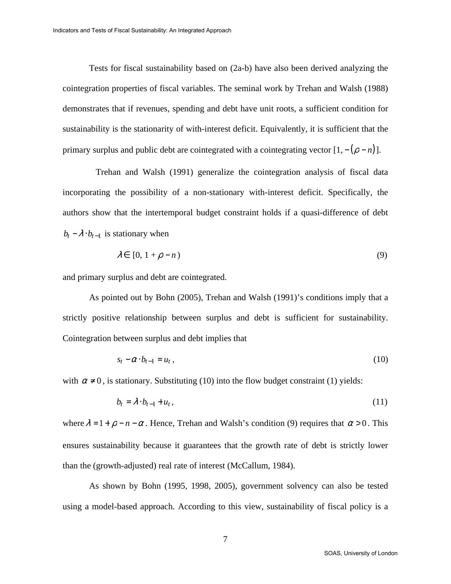Tests for fiscal sustainability based on (2a-b) have also been derived analyzing the cointegration properties of fiscal variables. The seminal work by Trehan and Walsh (1988) demonstrates that if revenues, spending and debt have unit roots, a sufficient condition for sustainability is the stationarity of with-interest deficit. Equivalently, it is sufficient that the primary surplus and public debt are cointegrated with a cointegrating vector  $[1, -(\rho - n)]$ .

Trehan and Walsh (1991) generalize the cointegration analysis of fiscal data incorporating the possibility of a non-stationary with-interest deficit. Specifically, the authors show that the intertemporal budget constraint holds if a quasi-difference of debt  $b_t - \lambda \cdot b_{t-1}$  is stationary when

$$
\lambda \in [0, 1 + \rho - n) \tag{9}
$$

and primary surplus and debt are cointegrated.

As pointed out by Bohn (2005), Trehan and Walsh (1991)'s conditions imply that a strictly positive relationship between surplus and debt is sufficient for sustainability. Cointegration between surplus and debt implies that

$$
s_t - \alpha \cdot b_{t-1} = u_t \,, \tag{10}
$$

with  $\alpha \neq 0$ , is stationary. Substituting (10) into the flow budget constraint (1) yields:

$$
b_t = \lambda \cdot b_{t-1} + u_t, \qquad (11)
$$

where  $\lambda = 1 + \rho - n - \alpha$ . Hence, Trehan and Walsh's condition (9) requires that  $\alpha > 0$ . This ensures sustainability because it guarantees that the growth rate of debt is strictly lower than the (growth-adjusted) real rate of interest (McCallum, 1984).

As shown by Bohn (1995, 1998, 2005), government solvency can also be tested using a model-based approach. According to this view, sustainability of fiscal policy is a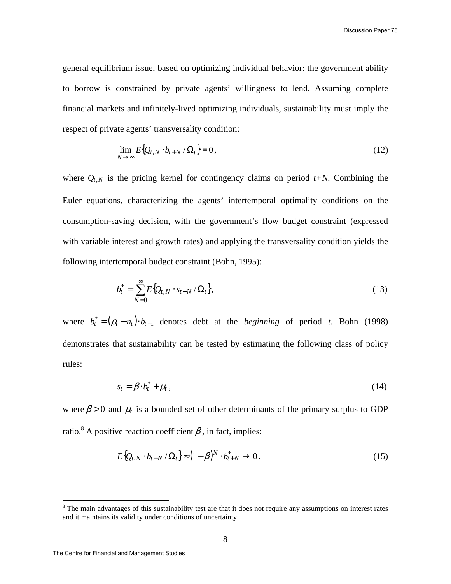general equilibrium issue, based on optimizing individual behavior: the government ability to borrow is constrained by private agents' willingness to lend. Assuming complete financial markets and infinitely-lived optimizing individuals, sustainability must imply the respect of private agents' transversality condition:

$$
\lim_{N \to \infty} E\{Q_{t,N} \cdot b_{t+N} / \Omega_t\} = 0, \qquad (12)
$$

where  $Q_{t,N}$  is the pricing kernel for contingency claims on period  $t+N$ . Combining the Euler equations, characterizing the agents' intertemporal optimality conditions on the consumption-saving decision, with the government's flow budget constraint (expressed with variable interest and growth rates) and applying the transversality condition yields the following intertemporal budget constraint (Bohn, 1995):

$$
b_t^* = \sum_{N=0}^{\infty} E\{Q_{t,N} \cdot s_{t+N} / \Omega_t\},
$$
\n(13)

where  $b_t^* = (\rho_t - n_t) \cdot b_{t-1}$  denotes debt at the *beginning* of period *t*. Bohn (1998) demonstrates that sustainability can be tested by estimating the following class of policy rules:

$$
s_t = \beta \cdot b_t^* + \mu_t \,, \tag{14}
$$

where  $\beta > 0$  and  $\mu_t$  is a bounded set of other determinants of the primary surplus to GDP ratio.<sup>8</sup> A positive reaction coefficient  $\beta$ , in fact, implies:

$$
E\{Q_{t,N} \cdot b_{t+N} / \Omega_t\} \approx (1-\beta)^N \cdot b_{t+N}^* \to 0. \tag{15}
$$

<u>.</u>

<sup>&</sup>lt;sup>8</sup> The main advantages of this sustainability test are that it does not require any assumptions on interest rates and it maintains its validity under conditions of uncertainty.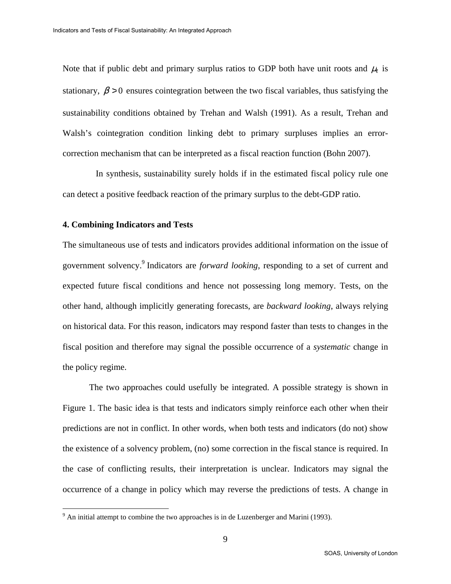Note that if public debt and primary surplus ratios to GDP both have unit roots and  $\mu_t$  is stationary,  $\beta > 0$  ensures cointegration between the two fiscal variables, thus satisfying the sustainability conditions obtained by Trehan and Walsh (1991). As a result, Trehan and Walsh's cointegration condition linking debt to primary surpluses implies an errorcorrection mechanism that can be interpreted as a fiscal reaction function (Bohn 2007).

In synthesis, sustainability surely holds if in the estimated fiscal policy rule one can detect a positive feedback reaction of the primary surplus to the debt-GDP ratio.

### **4. Combining Indicators and Tests**

The simultaneous use of tests and indicators provides additional information on the issue of government solvency.<sup>9</sup> Indicators are *forward looking*, responding to a set of current and expected future fiscal conditions and hence not possessing long memory. Tests, on the other hand, although implicitly generating forecasts, are *backward looking*, always relying on historical data. For this reason, indicators may respond faster than tests to changes in the fiscal position and therefore may signal the possible occurrence of a *systematic* change in the policy regime.

The two approaches could usefully be integrated. A possible strategy is shown in Figure 1. The basic idea is that tests and indicators simply reinforce each other when their predictions are not in conflict. In other words, when both tests and indicators (do not) show the existence of a solvency problem, (no) some correction in the fiscal stance is required. In the case of conflicting results, their interpretation is unclear. Indicators may signal the occurrence of a change in policy which may reverse the predictions of tests. A change in

<sup>&</sup>lt;sup>9</sup> An initial attempt to combine the two approaches is in de Luzenberger and Marini (1993).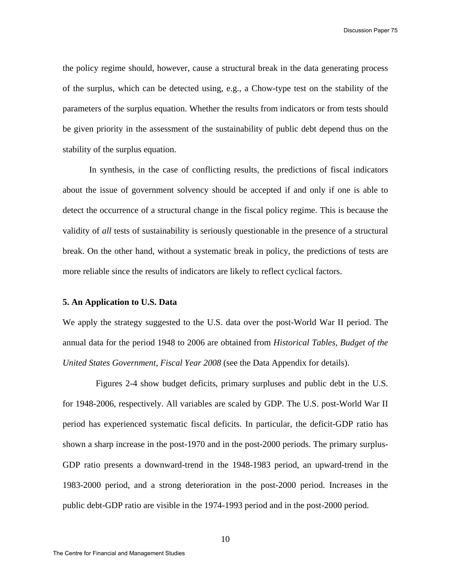the policy regime should, however, cause a structural break in the data generating process of the surplus, which can be detected using, e.g., a Chow-type test on the stability of the parameters of the surplus equation. Whether the results from indicators or from tests should be given priority in the assessment of the sustainability of public debt depend thus on the stability of the surplus equation.

In synthesis, in the case of conflicting results, the predictions of fiscal indicators about the issue of government solvency should be accepted if and only if one is able to detect the occurrence of a structural change in the fiscal policy regime. This is because the validity of *all* tests of sustainability is seriously questionable in the presence of a structural break. On the other hand, without a systematic break in policy, the predictions of tests are more reliable since the results of indicators are likely to reflect cyclical factors.

### **5. An Application to U.S. Data**

We apply the strategy suggested to the U.S. data over the post-World War II period. The annual data for the period 1948 to 2006 are obtained from *Historical Tables, Budget of the United States Government*, *Fiscal Year 2008* (see the Data Appendix for details).

Figures 2-4 show budget deficits, primary surpluses and public debt in the U.S. for 1948-2006, respectively. All variables are scaled by GDP. The U.S. post-World War II period has experienced systematic fiscal deficits. In particular, the deficit-GDP ratio has shown a sharp increase in the post-1970 and in the post-2000 periods. The primary surplus-GDP ratio presents a downward-trend in the 1948-1983 period, an upward-trend in the 1983-2000 period, and a strong deterioration in the post-2000 period. Increases in the public debt-GDP ratio are visible in the 1974-1993 period and in the post-2000 period.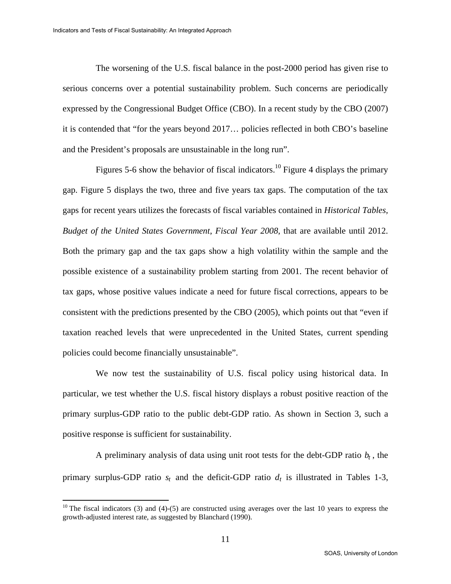The worsening of the U.S. fiscal balance in the post-2000 period has given rise to serious concerns over a potential sustainability problem. Such concerns are periodically expressed by the Congressional Budget Office (CBO). In a recent study by the CBO (2007) it is contended that "for the years beyond 2017… policies reflected in both CBO's baseline and the President's proposals are unsustainable in the long run".

Figures 5-6 show the behavior of fiscal indicators.<sup>10</sup> Figure 4 displays the primary gap. Figure 5 displays the two, three and five years tax gaps. The computation of the tax gaps for recent years utilizes the forecasts of fiscal variables contained in *Historical Tables, Budget of the United States Government*, *Fiscal Year 2008*, that are available until 2012. Both the primary gap and the tax gaps show a high volatility within the sample and the possible existence of a sustainability problem starting from 2001. The recent behavior of tax gaps, whose positive values indicate a need for future fiscal corrections, appears to be consistent with the predictions presented by the CBO (2005), which points out that "even if taxation reached levels that were unprecedented in the United States, current spending policies could become financially unsustainable".

We now test the sustainability of U.S. fiscal policy using historical data. In particular, we test whether the U.S. fiscal history displays a robust positive reaction of the primary surplus-GDP ratio to the public debt-GDP ratio. As shown in Section 3, such a positive response is sufficient for sustainability.

A preliminary analysis of data using unit root tests for the debt-GDP ratio *b<sup>t</sup>* , the primary surplus-GDP ratio  $s_t$  and the deficit-GDP ratio  $d_t$  is illustrated in Tables 1-3,

<u>.</u>

<sup>&</sup>lt;sup>10</sup> The fiscal indicators (3) and (4)-(5) are constructed using averages over the last 10 years to express the growth-adjusted interest rate, as suggested by Blanchard (1990).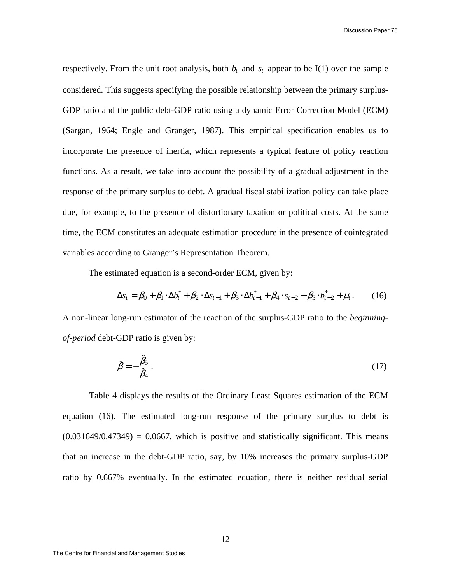Discussion Paper 75

respectively. From the unit root analysis, both  $b_t$  and  $s_t$  appear to be I(1) over the sample considered. This suggests specifying the possible relationship between the primary surplus-GDP ratio and the public debt-GDP ratio using a dynamic Error Correction Model (ECM) (Sargan, 1964; Engle and Granger, 1987). This empirical specification enables us to incorporate the presence of inertia, which represents a typical feature of policy reaction functions. As a result, we take into account the possibility of a gradual adjustment in the response of the primary surplus to debt. A gradual fiscal stabilization policy can take place due, for example, to the presence of distortionary taxation or political costs. At the same time, the ECM constitutes an adequate estimation procedure in the presence of cointegrated variables according to Granger's Representation Theorem.

The estimated equation is a second-order ECM, given by:

$$
\Delta s_t = \beta_0 + \beta_1 \cdot \Delta b_t^* + \beta_2 \cdot \Delta s_{t-1} + \beta_3 \cdot \Delta b_{t-1}^* + \beta_4 \cdot s_{t-2} + \beta_5 \cdot b_{t-2}^* + \mu_t. \tag{16}
$$

A non-linear long-run estimator of the reaction of the surplus-GDP ratio to the *beginningof-period* debt-GDP ratio is given by:

$$
\hat{\beta} = -\frac{\hat{\beta}_5}{\hat{\beta}_4}.\tag{17}
$$

Table 4 displays the results of the Ordinary Least Squares estimation of the ECM equation (16). The estimated long-run response of the primary surplus to debt is  $(0.031649/0.47349) = 0.0667$ , which is positive and statistically significant. This means that an increase in the debt-GDP ratio, say, by 10% increases the primary surplus-GDP ratio by 0.667% eventually. In the estimated equation, there is neither residual serial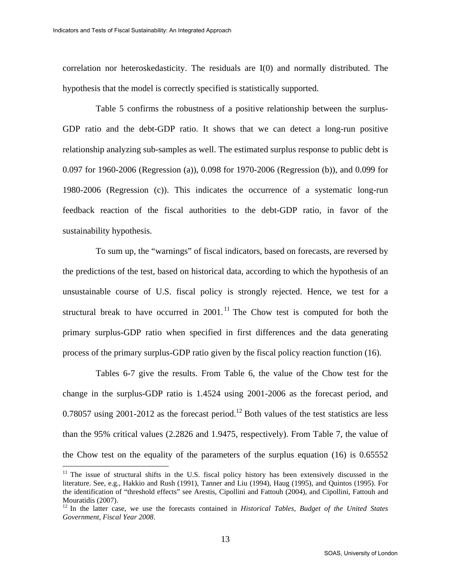<u>.</u>

correlation nor heteroskedasticity. The residuals are I(0) and normally distributed. The hypothesis that the model is correctly specified is statistically supported.

Table 5 confirms the robustness of a positive relationship between the surplus-GDP ratio and the debt-GDP ratio. It shows that we can detect a long-run positive relationship analyzing sub-samples as well. The estimated surplus response to public debt is 0.097 for 1960-2006 (Regression (a)), 0.098 for 1970-2006 (Regression (b)), and 0.099 for 1980-2006 (Regression (c)). This indicates the occurrence of a systematic long-run feedback reaction of the fiscal authorities to the debt-GDP ratio, in favor of the sustainability hypothesis.

To sum up, the "warnings" of fiscal indicators, based on forecasts, are reversed by the predictions of the test, based on historical data, according to which the hypothesis of an unsustainable course of U.S. fiscal policy is strongly rejected. Hence, we test for a structural break to have occurred in  $2001$ .<sup>11</sup> The Chow test is computed for both the primary surplus-GDP ratio when specified in first differences and the data generating process of the primary surplus-GDP ratio given by the fiscal policy reaction function (16).

Tables 6-7 give the results. From Table 6, the value of the Chow test for the change in the surplus-GDP ratio is 1.4524 using 2001-2006 as the forecast period, and 0.78057 using 2001-2012 as the forecast period.<sup>12</sup> Both values of the test statistics are less than the 95% critical values (2.2826 and 1.9475, respectively). From Table 7, the value of the Chow test on the equality of the parameters of the surplus equation (16) is 0.65552

 $11$  The issue of structural shifts in the U.S. fiscal policy history has been extensively discussed in the literature. See, e.g., Hakkio and Rush (1991), Tanner and Liu (1994), Haug (1995), and Quintos (1995). For the identification of "threshold effects" see Arestis, Cipollini and Fattouh (2004), and Cipollini, Fattouh and Mouratidis (2007).

<sup>&</sup>lt;sup>12</sup> In the latter case, we use the forecasts contained in *Historical Tables, Budget of the United States Government*, *Fiscal Year 2008*.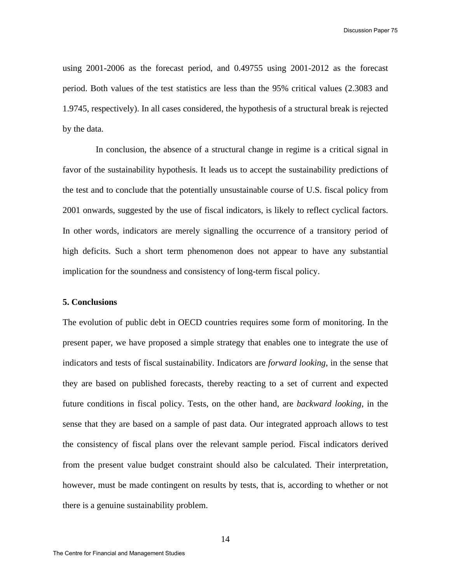Discussion Paper 75

using 2001-2006 as the forecast period, and 0.49755 using 2001-2012 as the forecast period. Both values of the test statistics are less than the 95% critical values (2.3083 and 1.9745, respectively). In all cases considered, the hypothesis of a structural break is rejected by the data.

In conclusion, the absence of a structural change in regime is a critical signal in favor of the sustainability hypothesis. It leads us to accept the sustainability predictions of the test and to conclude that the potentially unsustainable course of U.S. fiscal policy from 2001 onwards, suggested by the use of fiscal indicators, is likely to reflect cyclical factors. In other words, indicators are merely signalling the occurrence of a transitory period of high deficits. Such a short term phenomenon does not appear to have any substantial implication for the soundness and consistency of long-term fiscal policy.

### **5. Conclusions**

The evolution of public debt in OECD countries requires some form of monitoring. In the present paper, we have proposed a simple strategy that enables one to integrate the use of indicators and tests of fiscal sustainability. Indicators are *forward looking*, in the sense that they are based on published forecasts, thereby reacting to a set of current and expected future conditions in fiscal policy. Tests, on the other hand, are *backward looking*, in the sense that they are based on a sample of past data. Our integrated approach allows to test the consistency of fiscal plans over the relevant sample period. Fiscal indicators derived from the present value budget constraint should also be calculated. Their interpretation, however, must be made contingent on results by tests, that is, according to whether or not there is a genuine sustainability problem.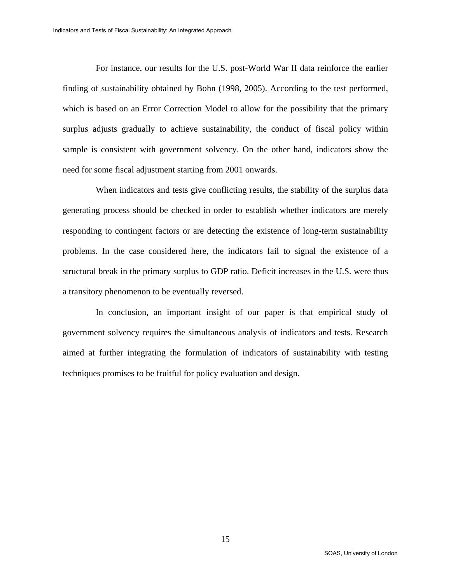For instance, our results for the U.S. post-World War II data reinforce the earlier finding of sustainability obtained by Bohn (1998, 2005). According to the test performed, which is based on an Error Correction Model to allow for the possibility that the primary surplus adjusts gradually to achieve sustainability, the conduct of fiscal policy within sample is consistent with government solvency. On the other hand, indicators show the need for some fiscal adjustment starting from 2001 onwards.

When indicators and tests give conflicting results, the stability of the surplus data generating process should be checked in order to establish whether indicators are merely responding to contingent factors or are detecting the existence of long-term sustainability problems. In the case considered here, the indicators fail to signal the existence of a structural break in the primary surplus to GDP ratio. Deficit increases in the U.S. were thus a transitory phenomenon to be eventually reversed.

In conclusion, an important insight of our paper is that empirical study of government solvency requires the simultaneous analysis of indicators and tests. Research aimed at further integrating the formulation of indicators of sustainability with testing techniques promises to be fruitful for policy evaluation and design.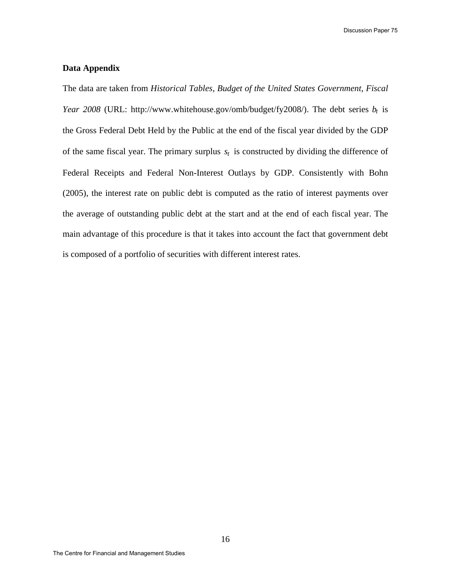Discussion Paper 75

### **Data Appendix**

The data are taken from *Historical Tables, Budget of the United States Government*, *Fiscal Year 2008* (URL: http://www.whitehouse.gov/omb/budget/fy2008/). The debt series *b<sup>t</sup>* is the Gross Federal Debt Held by the Public at the end of the fiscal year divided by the GDP of the same fiscal year. The primary surplus  $s_t$  is constructed by dividing the difference of Federal Receipts and Federal Non-Interest Outlays by GDP. Consistently with Bohn (2005), the interest rate on public debt is computed as the ratio of interest payments over the average of outstanding public debt at the start and at the end of each fiscal year. The main advantage of this procedure is that it takes into account the fact that government debt is composed of a portfolio of securities with different interest rates.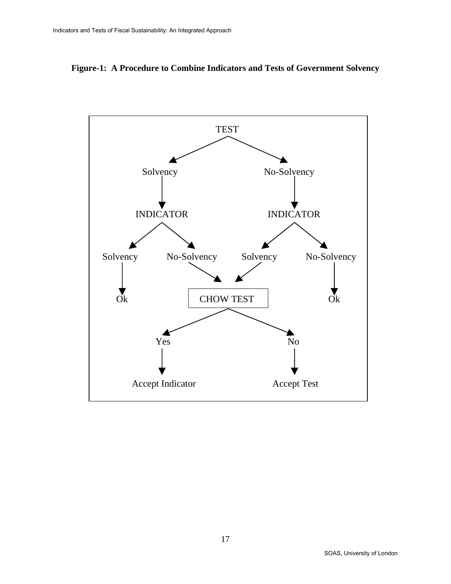

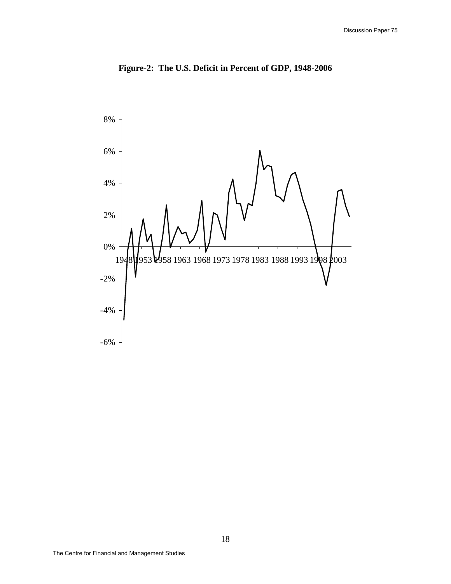

**Figure-2: The U.S. Deficit in Percent of GDP, 1948-2006**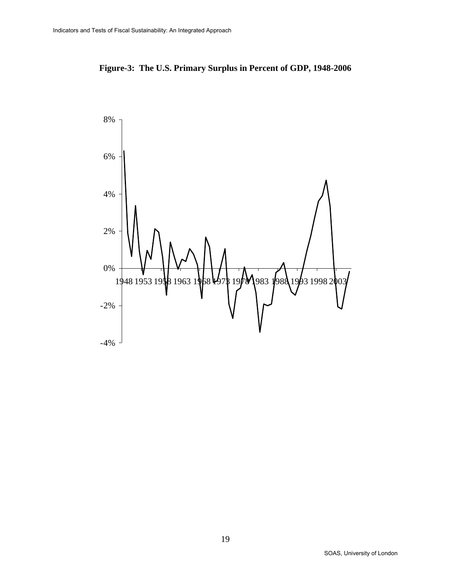

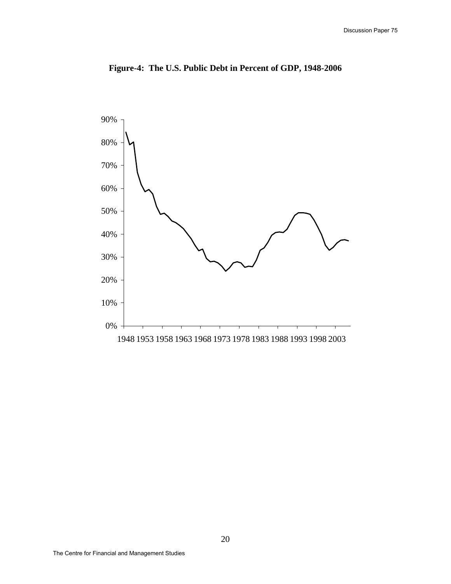

**Figure-4: The U.S. Public Debt in Percent of GDP, 1948-2006**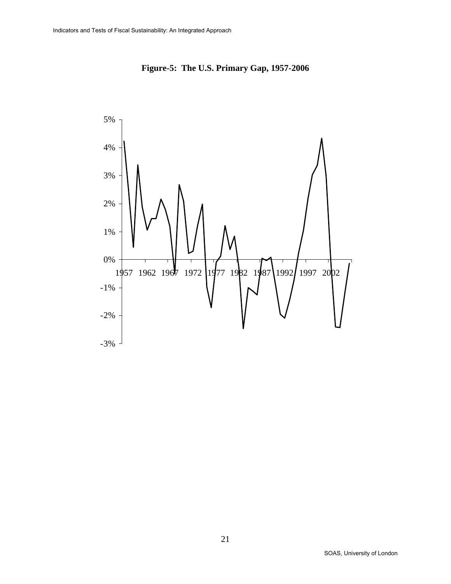

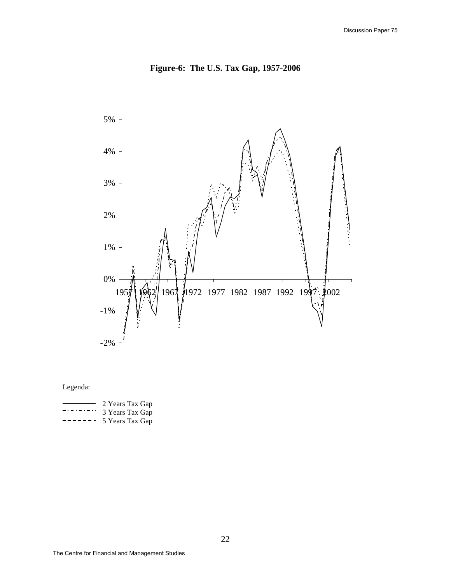



# Legenda:

|           | 2 Years Tax Gap |
|-----------|-----------------|
| _________ | 3 Years Tax Gap |
| --------  | 5 Years Tax Gap |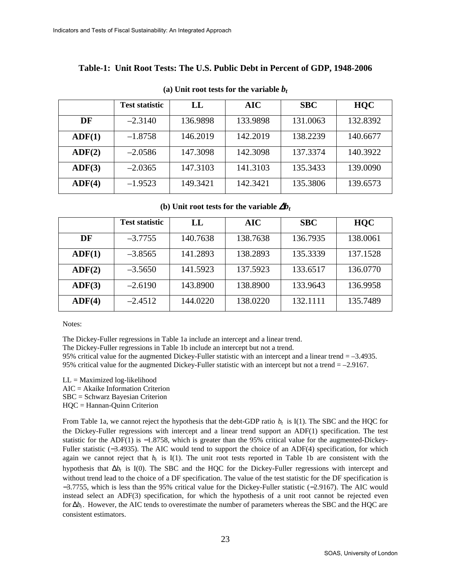## **Table-1: Unit Root Tests: The U.S. Public Debt in Percent of GDP, 1948-2006**

|        | <b>Test statistic</b> | LL       | AIC      | <b>SBC</b> | <b>HQC</b> |
|--------|-----------------------|----------|----------|------------|------------|
| DF     | $-2.3140$             | 136.9898 | 133.9898 | 131.0063   | 132.8392   |
| ADF(1) | $-1.8758$             | 146.2019 | 142.2019 | 138.2239   | 140.6677   |
| ADF(2) | $-2.0586$             | 147.3098 | 142.3098 | 137.3374   | 140.3922   |
| ADF(3) | $-2.0365$             | 147.3103 | 141.3103 | 135.3433   | 139.0090   |
| ADF(4) | $-1.9523$             | 149.3421 | 142.3421 | 135.3806   | 139.6573   |
|        |                       |          |          |            |            |

#### (a) Unit root tests for the variable  $b_t$

**(b)** Unit root tests for the variable  $\Delta b_t$ 

|        | <b>Test statistic</b> | LL       | <b>AIC</b> | <b>SBC</b> | <b>HQC</b> |
|--------|-----------------------|----------|------------|------------|------------|
| DF     | $-3.7755$             | 140.7638 | 138.7638   | 136.7935   | 138.0061   |
| ADF(1) | $-3.8565$             | 141.2893 | 138.2893   | 135.3339   | 137.1528   |
| ADF(2) | $-3.5650$             | 141.5923 | 137.5923   | 133.6517   | 136.0770   |
| ADF(3) | $-2.6190$             | 143.8900 | 138.8900   | 133.9643   | 136.9958   |
| ADF(4) | $-2.4512$             | 144.0220 | 138.0220   | 132.1111   | 135.7489   |

Notes:

The Dickey-Fuller regressions in Table 1a include an intercept and a linear trend.

The Dickey-Fuller regressions in Table 1b include an intercept but not a trend.

95% critical value for the augmented Dickey-Fuller statistic with an intercept and a linear trend = –3.4935. 95% critical value for the augmented Dickey-Fuller statistic with an intercept but not a trend  $= -2.9167$ .

- LL = Maximized log-likelihood
- AIC = Akaike Information Criterion

SBC = Schwarz Bayesian Criterion

HQC = Hannan-Quinn Criterion

From Table 1a, we cannot reject the hypothesis that the debt-GDP ratio  $b_t$  is I(1). The SBC and the HQC for the Dickey-Fuller regressions with intercept and a linear trend support an ADF(1) specification. The test statistic for the ADF(1) is −1.8758, which is greater than the 95% critical value for the augmented-Dickey-Fuller statistic (−3.4935). The AIC would tend to support the choice of an ADF(4) specification, for which again we cannot reject that  $b_t$  is I(1). The unit root tests reported in Table 1b are consistent with the hypothesis that ∆*b<sup>t</sup>* is I(0). The SBC and the HQC for the Dickey-Fuller regressions with intercept and without trend lead to the choice of a DF specification. The value of the test statistic for the DF specification is −3.7755, which is less than the 95% critical value for the Dickey-Fuller statistic (−2.9167). The AIC would instead select an ADF(3) specification, for which the hypothesis of a unit root cannot be rejected even for  $\Delta b_t$ . However, the AIC tends to overestimate the number of parameters whereas the SBC and the HQC are consistent estimators.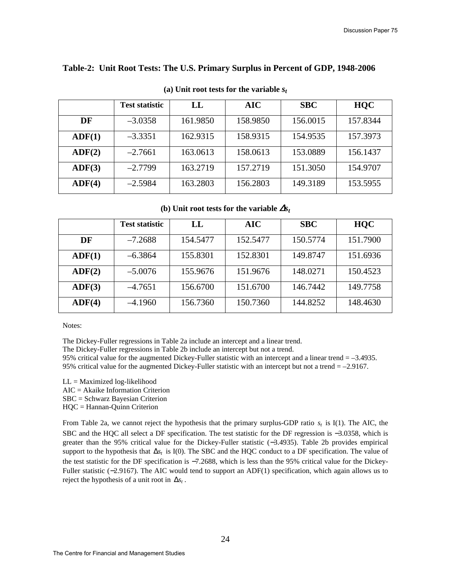### **Table-2: Unit Root Tests: The U.S. Primary Surplus in Percent of GDP, 1948-2006**

|                 | <b>Test statistic</b> | LL       | AIC      | <b>SBC</b> | <b>HQC</b> |
|-----------------|-----------------------|----------|----------|------------|------------|
| DF              | $-3.0358$             | 161.9850 | 158.9850 | 156.0015   | 157.8344   |
| ADF(1)          | $-3.3351$             | 162.9315 | 158.9315 | 154.9535   | 157.3973   |
| $\text{ADF}(2)$ | $-2.7661$             | 163.0613 | 158.0613 | 153.0889   | 156.1437   |
| ADF(3)          | $-2.7799$             | 163.2719 | 157.2719 | 151.3050   | 154.9707   |
| ADF(4)          | $-2.5984$             | 163.2803 | 156.2803 | 149.3189   | 153.5955   |

# **(a) Unit root tests for the variable** *s<sup>t</sup>*

**(b)** Unit root tests for the variable  $\Delta s_t$ 

|               | <b>Test statistic</b> | LL       | AIC      | <b>SBC</b> | <b>HQC</b> |
|---------------|-----------------------|----------|----------|------------|------------|
| DF            | $-7.2688$             | 154.5477 | 152,5477 | 150.5774   | 151.7900   |
| $\bf{ADF}(1)$ | $-6.3864$             | 155.8301 | 152.8301 | 149.8747   | 151.6936   |
| ADF(2)        | $-5.0076$             | 155.9676 | 151.9676 | 148.0271   | 150.4523   |
| ADF(3)        | $-4.7651$             | 156.6700 | 151.6700 | 146.7442   | 149.7758   |
| ADF(4)        | $-4.1960$             | 156.7360 | 150.7360 | 144.8252   | 148.4630   |

Notes:

The Dickey-Fuller regressions in Table 2a include an intercept and a linear trend.

The Dickey-Fuller regressions in Table 2b include an intercept but not a trend.

95% critical value for the augmented Dickey-Fuller statistic with an intercept and a linear trend = –3.4935. 95% critical value for the augmented Dickey-Fuller statistic with an intercept but not a trend = –2.9167.

- LL = Maximized log-likelihood
- AIC = Akaike Information Criterion
- SBC = Schwarz Bayesian Criterion HQC = Hannan-Quinn Criterion

From Table 2a, we cannot reject the hypothesis that the primary surplus-GDP ratio  $s_t$  is I(1). The AIC, the SBC and the HQC all select a DF specification. The test statistic for the DF regression is −3.0358, which is greater than the 95% critical value for the Dickey-Fuller statistic (−3.4935). Table 2b provides empirical support to the hypothesis that ∆*s<sup>t</sup>* is I(0). The SBC and the HQC conduct to a DF specification. The value of the test statistic for the DF specification is −7.2688, which is less than the 95% critical value for the Dickey-Fuller statistic (−2.9167). The AIC would tend to support an ADF(1) specification, which again allows us to reject the hypothesis of a unit root in  $\Delta s_t$ .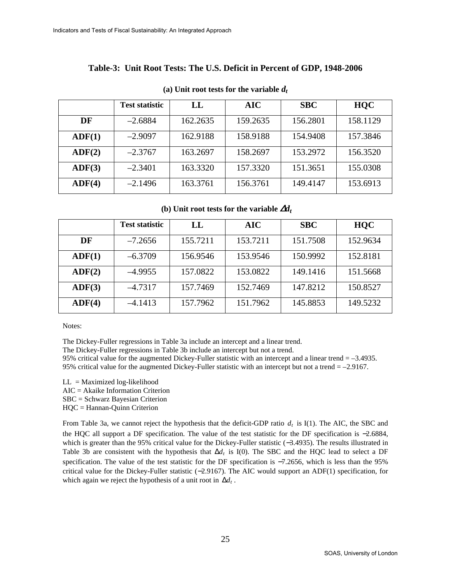# **Table-3: Unit Root Tests: The U.S. Deficit in Percent of GDP, 1948-2006**

|        | <b>Test statistic</b> | LL       | AIC      | <b>SBC</b> | <b>HQC</b> |
|--------|-----------------------|----------|----------|------------|------------|
| DF     | $-2.6884$             | 162.2635 | 159.2635 | 156.2801   | 158.1129   |
| ADF(1) | $-2.9097$             | 162.9188 | 158.9188 | 154.9408   | 157.3846   |
| ADF(2) | $-2.3767$             | 163.2697 | 158.2697 | 153.2972   | 156.3520   |
| ADF(3) | $-2.3401$             | 163.3320 | 157.3320 | 151.3651   | 155.0308   |
| ADF(4) | $-2.1496$             | 163.3761 | 156.3761 | 149.4147   | 153.6913   |

#### **(a) Unit root tests for the variable** *d<sup>t</sup>*

 **(b) Unit root tests for the variable** <sup>∆</sup>*d<sup>t</sup>*

|        | <b>Test statistic</b> | LL       | <b>AIC</b> | <b>SBC</b> | <b>HQC</b> |
|--------|-----------------------|----------|------------|------------|------------|
| DF     | $-7.2656$             | 155.7211 | 153.7211   | 151.7508   | 152.9634   |
| ADF(1) | $-6.3709$             | 156.9546 | 153.9546   | 150.9992   | 152.8181   |
| ADF(2) | $-4.9955$             | 157.0822 | 153.0822   | 149.1416   | 151.5668   |
| ADF(3) | $-4.7317$             | 157.7469 | 152.7469   | 147.8212   | 150.8527   |
| ADF(4) | $-4.1413$             | 157.7962 | 151.7962   | 145.8853   | 149.5232   |

Notes:

The Dickey-Fuller regressions in Table 3a include an intercept and a linear trend.

The Dickey-Fuller regressions in Table 3b include an intercept but not a trend.

95% critical value for the augmented Dickey-Fuller statistic with an intercept and a linear trend = –3.4935. 95% critical value for the augmented Dickey-Fuller statistic with an intercept but not a trend = –2.9167.

 $LL =$  Maximized log-likelihood

AIC = Akaike Information Criterion

SBC = Schwarz Bayesian Criterion

HQC = Hannan-Quinn Criterion

From Table 3a, we cannot reject the hypothesis that the deficit-GDP ratio  $d_t$  is I(1). The AIC, the SBC and the HQC all support a DF specification. The value of the test statistic for the DF specification is −2.6884, which is greater than the 95% critical value for the Dickey-Fuller statistic (−3.4935). The results illustrated in Table 3b are consistent with the hypothesis that ∆*d<sup>t</sup>* is I(0). The SBC and the HQC lead to select a DF specification. The value of the test statistic for the DF specification is  $-7.2656$ , which is less than the 95% critical value for the Dickey-Fuller statistic (−2.9167). The AIC would support an ADF(1) specification, for which again we reject the hypothesis of a unit root in ∆*d<sup>t</sup>* .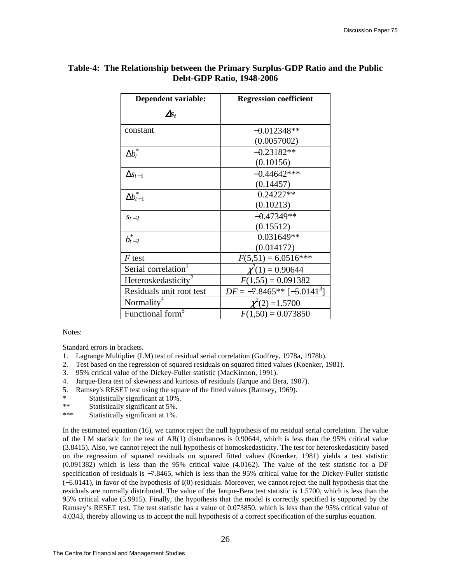| Dependent variable:             | <b>Regression coefficient</b> |
|---------------------------------|-------------------------------|
| $\Delta s_t$                    |                               |
| constant                        | $-0.012348**$                 |
|                                 | (0.0057002)                   |
| $\Delta b_{t}^{*}$              | $-0.23182**$                  |
|                                 | (0.10156)                     |
| $\Delta s_{t-1}$                | $-0.44642***$                 |
|                                 | (0.14457)                     |
| $\Delta b_{t-1}^*$              | $0.24227**$                   |
|                                 | (0.10213)                     |
| $s_{t-2}$                       | $-0.47349**$                  |
|                                 | (0.15512)                     |
| $b_{t-2}^*$                     | $0.031649**$                  |
|                                 | (0.014172)                    |
| $F$ test                        | $F(5,51) = 6.0516***$         |
| Serial correlation <sup>1</sup> | $\chi^2(1) = 0.90644$         |
| Heteroskedasticity <sup>2</sup> | $F(1,55) = 0.091382$          |
| Residuals unit root test        | $DF = -7.8465**[-5.0141^3]$   |
| Normality <sup>4</sup>          | $\chi^2(2) = 1.5700$          |
| Functional form <sup>5</sup>    | $F(1,50) = 0.073850$          |

# **Table-4: The Relationship between the Primary Surplus-GDP Ratio and the Public Debt-GDP Ratio, 1948-2006**

Notes:

Standard errors in brackets.

- 1. Lagrange Multiplier (LM) test of residual serial correlation (Godfrey, 1978a, 1978b).
- 2. Test based on the regression of squared residuals on squared fitted values (Koenker, 1981).
- 3. 95% critical value of the Dickey-Fuller statistic (MacKinnon, 1991).
- 4. Jarque-Bera test of skewness and kurtosis of residuals (Jarque and Bera, 1987).
- 5. Ramsey's RESET test using the square of the fitted values (Ramsey, 1969).
- \* Statistically significant at  $10\%$ .<br>\*\* Statistically significant at  $5\%$ .
- Statistically significant at 5%.
- \*\*\* Statistically significant at 1%.

In the estimated equation (16), we cannot reject the null hypothesis of no residual serial correlation. The value of the LM statistic for the test of AR(1) disturbances is 0.90644, which is less than the 95% critical value (3.8415). Also, we cannot reject the null hypothesis of homoskedasticity. The test for heteroskedasticity based on the regression of squared residuals on squared fitted values (Koenker, 1981) yields a test statistic (0.091382) which is less than the 95% critical value (4.0162). The value of the test statistic for a DF specification of residuals is −7.8465, which is less than the 95% critical value for the Dickey-Fuller statistic (−5.0141), in favor of the hypothesis of I(0) residuals. Moreover, we cannot reject the null hypothesis that the residuals are normally distributed. The value of the Jarque-Bera test statistic is 1.5700, which is less than the 95% critical value (5.9915). Finally, the hypothesis that the model is correctly specified is supported by the Ramsey's RESET test. The test statistic has a value of 0.073850, which is less than the 95% critical value of 4.0343, thereby allowing us to accept the null hypothesis of a correct specification of the surplus equation.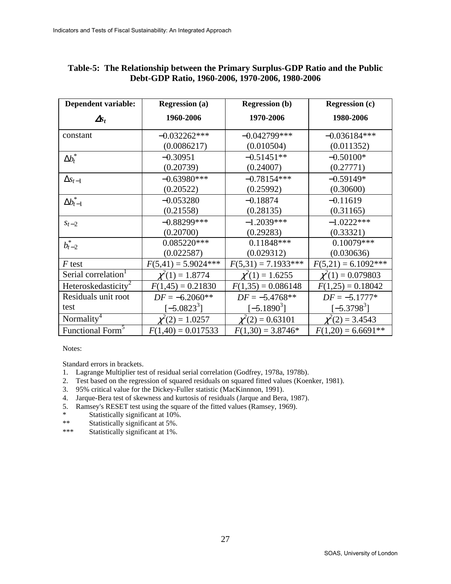| <b>Dependent variable:</b>      | <b>Regression (a)</b> | <b>Regression (b)</b> | <b>Regression (c)</b>  |
|---------------------------------|-----------------------|-----------------------|------------------------|
| $\mathbf{\Delta s}_{t}$         | 1960-2006             | 1970-2006             | 1980-2006              |
| constant                        | $-0.032262***$        | $-0.042799***$        | $-0.036184***$         |
|                                 | (0.0086217)           | (0.010504)            | (0.011352)             |
| $\Delta b_t^*$                  | $-0.30951$            | $-0.51451**$          | $-0.50100*$            |
|                                 | (0.20739)             | (0.24007)             | (0.27771)              |
| $\Delta s_{t-1}$                | $-0.63980***$         | $-0.78154***$         | $-0.59149*$            |
|                                 | (0.20522)             | (0.25992)             | (0.30600)              |
| $\Delta b_{t-1}^*$              | $-0.053280$           | $-0.18874$            | $-0.11619$             |
|                                 | (0.21558)             | (0.28135)             | (0.31165)              |
| $S_t - 2$                       | $-0.88299***$         | $-1.2039***$          | $-1.0222***$           |
|                                 | (0.20700)             | (0.29283)             | (0.33321)              |
| $b_{t-2}^*$                     | $0.085220***$         | $0.11848***$          | $0.10079***$           |
|                                 | (0.022587)            | (0.029312)            | (0.030636)             |
| $F$ test                        | $F(5,41) = 5.9024***$ | $F(5,31) = 7.1933***$ | $F(5,21) = 6.1092***$  |
| Serial correlation <sup>1</sup> | $\chi^2(1) = 1.8774$  | $\chi^2(1) = 1.6255$  | $\chi^2(1) = 0.079803$ |
| Heteroskedasticity <sup>2</sup> | $F(1,45) = 0.21830$   | $F(1,35) = 0.086148$  | $F(1,25) = 0.18042$    |
| Residuals unit root             | $DF = -6.2060**$      | $DF = -5.4768**$      | $DF = -5.1777*$        |
| test                            | $[-5.0823^{3}]$       | $[-5.1890^{3}]$       | $[-5.3798^{3}]$        |
| Normality <sup>4</sup>          | $\chi^2(2) = 1.0257$  | $\chi^2(2) = 0.63101$ | $\chi^2(2) = 3.4543$   |
| Functional Form <sup>5</sup>    | $F(1,40) = 0.017533$  | $F(1,30) = 3.8746*$   | $F(1,20) = 6.6691**$   |

# **Table-5: The Relationship between the Primary Surplus-GDP Ratio and the Public Debt-GDP Ratio, 1960-2006, 1970-2006, 1980-2006**

Notes:

Standard errors in brackets.

- 1. Lagrange Multiplier test of residual serial correlation (Godfrey, 1978a, 1978b).
- 2. Test based on the regression of squared residuals on squared fitted values (Koenker, 1981).
- 3. 95% critical value for the Dickey-Fuller statistic (MacKinnnon, 1991).
- 4. Jarque-Bera test of skewness and kurtosis of residuals (Jarque and Bera, 1987).
- 5. Ramsey's RESET test using the square of the fitted values (Ramsey, 1969).
- \* Statistically significant at 10%.<br>\*\* Statistically significant at 5%
- \*\* Statistically significant at 5%.<br>\*\*\* Statistically significant at 1%
- Statistically significant at 1%.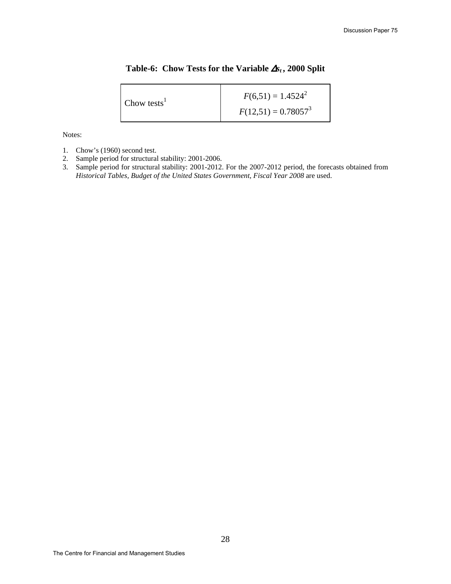## **Table-6: Chow Tests for the Variable** ∆*st* **, 2000 Split**

| Chow tests <sup>1</sup> | $F(6,51) = 1.4524^2$   |
|-------------------------|------------------------|
|                         | $F(12,51) = 0.78057^3$ |

Notes:

- 1. Chow's (1960) second test.
- 2. Sample period for structural stability: 2001-2006.
- 3. Sample period for structural stability: 2001-2012. For the 2007-2012 period, the forecasts obtained from *Historical Tables, Budget of the United States Government*, *Fiscal Year 2008* are used.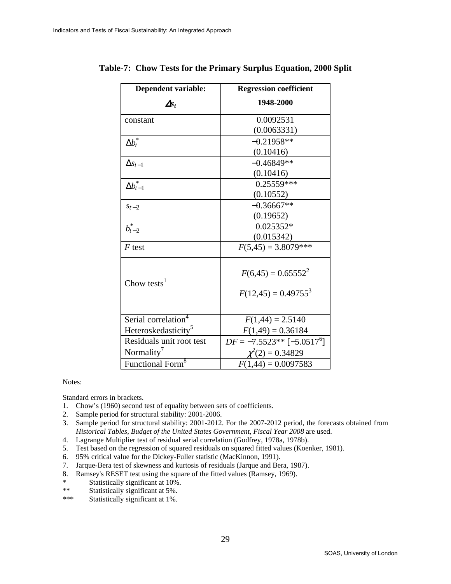| <b>Dependent variable:</b>      | <b>Regression coefficient</b> |
|---------------------------------|-------------------------------|
| $\Delta s_t$                    | 1948-2000                     |
| constant                        | 0.0092531                     |
|                                 | (0.0063331)                   |
| $\Delta b_{t}^{\ast}$           | $-0.21958**$                  |
|                                 | (0.10416)                     |
| $\Delta s_{t-1}$                | $-0.46849**$                  |
|                                 | (0.10416)                     |
| $\Delta b_{t-1}^*$              | $0.25559***$                  |
|                                 | (0.10552)                     |
| $S_t - 2$                       | $-0.36667**$                  |
|                                 | (0.19652)                     |
| $b_{t-2}^*$                     | $0.025352*$                   |
|                                 | (0.015342)                    |
| $F$ test                        | $F(5,45) = 3.8079***$         |
| Chow tests $1$                  | $F(6,45) = 0.65552^{2}$       |
|                                 | $F(12,45) = 0.49755^{3}$      |
| Serial correlation <sup>4</sup> | $F(1,44) = 2.5140$            |
| Heteroskedasticity <sup>5</sup> | $F(1,49) = 0.36184$           |
| Residuals unit root test        | $DF = -7.5523**[-5.0517^6]$   |
| Normality <sup>7</sup>          | $\chi^2(2) = 0.34829$         |
| Functional Form <sup>8</sup>    | $F(1,44) = 0.0097583$         |

**Table-7: Chow Tests for the Primary Surplus Equation, 2000 Split** 

Notes:

Standard errors in brackets.

- 1. Chow's (1960) second test of equality between sets of coefficients.
- 2. Sample period for structural stability: 2001-2006.
- 3. Sample period for structural stability: 2001-2012. For the 2007-2012 period, the forecasts obtained from *Historical Tables, Budget of the United States Government*, *Fiscal Year 2008* are used.
- 4. Lagrange Multiplier test of residual serial correlation (Godfrey, 1978a, 1978b).
- 5. Test based on the regression of squared residuals on squared fitted values (Koenker, 1981).
- 6. 95% critical value for the Dickey-Fuller statistic (MacKinnon, 1991).
- 7. Jarque-Bera test of skewness and kurtosis of residuals (Jarque and Bera, 1987).
- 8. Ramsey's RESET test using the square of the fitted values (Ramsey, 1969).
- \* Statistically significant at  $10\%$ .<br>
\*\* Statistically significant at  $5\%$ .
- \*\* Statistically significant at 5%.<br>\*\*\* Statistically significant at 1%
- Statistically significant at 1%.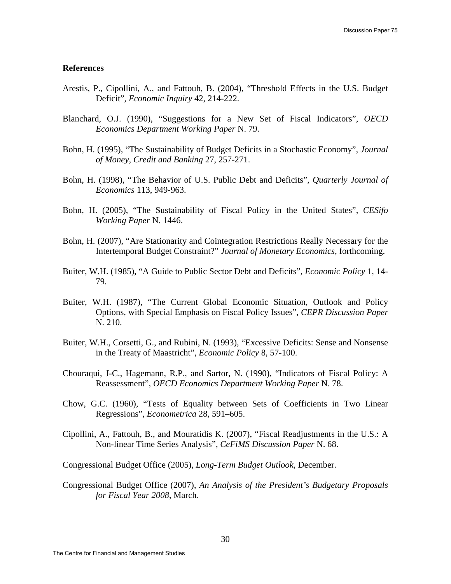#### **References**

- Arestis, P., Cipollini, A., and Fattouh, B. (2004), "Threshold Effects in the U.S. Budget Deficit", *Economic Inquiry* 42, 214-222.
- Blanchard, O.J. (1990), "Suggestions for a New Set of Fiscal Indicators", *OECD Economics Department Working Paper* N. 79.
- Bohn, H. (1995), "The Sustainability of Budget Deficits in a Stochastic Economy", *Journal of Money, Credit and Banking* 27, 257-271.
- Bohn, H. (1998), "The Behavior of U.S. Public Debt and Deficits", *Quarterly Journal of Economics* 113, 949-963.
- Bohn, H. (2005), "The Sustainability of Fiscal Policy in the United States", *CESifo Working Paper* N. 1446.
- Bohn, H. (2007), "Are Stationarity and Cointegration Restrictions Really Necessary for the Intertemporal Budget Constraint?" *Journal of Monetary Economics*, forthcoming.
- Buiter, W.H. (1985), "A Guide to Public Sector Debt and Deficits", *Economic Policy* 1, 14- 79.
- Buiter, W.H. (1987), "The Current Global Economic Situation, Outlook and Policy Options, with Special Emphasis on Fiscal Policy Issues", *CEPR Discussion Paper* N. 210.
- Buiter, W.H., Corsetti, G., and Rubini, N. (1993), "Excessive Deficits: Sense and Nonsense in the Treaty of Maastricht", *Economic Policy* 8, 57-100.
- Chouraqui, J-C., Hagemann, R.P., and Sartor, N. (1990), "Indicators of Fiscal Policy: A Reassessment", *OECD Economics Department Working Paper* N. 78.
- Chow, G.C. (1960), "Tests of Equality between Sets of Coefficients in Two Linear Regressions", *Econometrica* 28, 591–605.
- Cipollini, A., Fattouh, B., and Mouratidis K. (2007), "Fiscal Readjustments in the U.S.: A Non-linear Time Series Analysis", *CeFiMS Discussion Paper* N. 68.

Congressional Budget Office (2005), *Long-Term Budget Outlook*, December.

Congressional Budget Office (2007), *An Analysis of the President's Budgetary Proposals for Fiscal Year 2008*, March.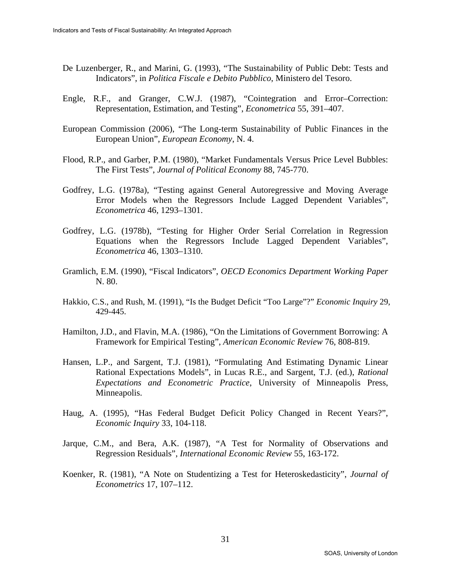- De Luzenberger, R., and Marini, G. (1993), "The Sustainability of Public Debt: Tests and Indicators", in *Politica Fiscale e Debito Pubblico*, Ministero del Tesoro.
- Engle, R.F., and Granger, C.W.J. (1987), "Cointegration and Error–Correction: Representation, Estimation, and Testing", *Econometrica* 55, 391–407.
- European Commission (2006), "The Long-term Sustainability of Public Finances in the European Union", *European Economy*, N. 4.
- Flood, R.P., and Garber, P.M. (1980), "Market Fundamentals Versus Price Level Bubbles: The First Tests", *Journal of Political Economy* 88, 745-770.
- Godfrey, L.G. (1978a), "Testing against General Autoregressive and Moving Average Error Models when the Regressors Include Lagged Dependent Variables", *Econometrica* 46, 1293–1301.
- Godfrey, L.G. (1978b), "Testing for Higher Order Serial Correlation in Regression Equations when the Regressors Include Lagged Dependent Variables", *Econometrica* 46, 1303–1310.
- Gramlich, E.M. (1990), "Fiscal Indicators", *OECD Economics Department Working Paper*  N. 80.
- Hakkio, C.S., and Rush, M. (1991), "Is the Budget Deficit "Too Large"?" *Economic Inquiry* 29, 429-445.
- Hamilton, J.D., and Flavin, M.A. (1986), "On the Limitations of Government Borrowing: A Framework for Empirical Testing", *American Economic Review* 76, 808-819.
- Hansen, L.P., and Sargent, T.J. (1981), "Formulating And Estimating Dynamic Linear Rational Expectations Models", in Lucas R.E., and Sargent, T.J. (ed.), *Rational Expectations and Econometric Practice*, University of Minneapolis Press, Minneapolis.
- Haug, A. (1995), "Has Federal Budget Deficit Policy Changed in Recent Years?", *Economic Inquiry* 33, 104-118.
- Jarque, C.M., and Bera, A.K. (1987), "A Test for Normality of Observations and Regression Residuals", *International Economic Review* 55, 163-172.
- Koenker, R. (1981), "A Note on Studentizing a Test for Heteroskedasticity", *Journal of Econometrics* 17, 107–112.